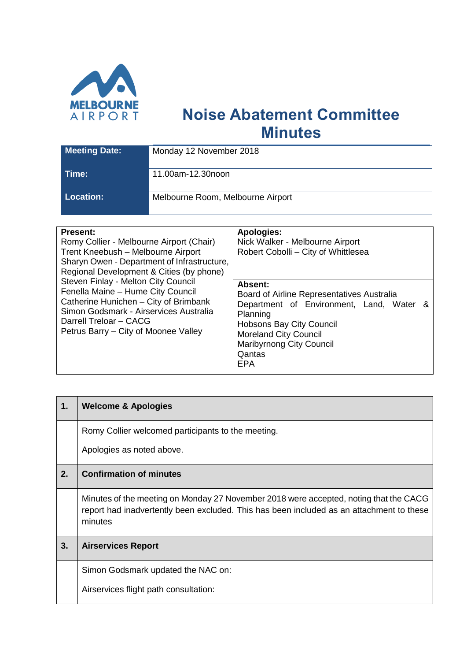

## **Noise Abatement Committee Minutes**

| <b>Meeting Date:</b> | Monday 12 November 2018           |  |  |
|----------------------|-----------------------------------|--|--|
| Time:                | 11.00am-12.30noon                 |  |  |
| <b>Location:</b>     | Melbourne Room, Melbourne Airport |  |  |

| <b>Present:</b><br>Romy Collier - Melbourne Airport (Chair)<br>Trent Kneebush - Melbourne Airport<br>Sharyn Owen - Department of Infrastructure,<br>Regional Development & Cities (by phone)                                  | <b>Apologies:</b><br>Nick Walker - Melbourne Airport<br>Robert Cobolli - City of Whittlesea                                                                                                                                          |  |  |  |
|-------------------------------------------------------------------------------------------------------------------------------------------------------------------------------------------------------------------------------|--------------------------------------------------------------------------------------------------------------------------------------------------------------------------------------------------------------------------------------|--|--|--|
| Steven Finlay - Melton City Council<br>Fenella Maine - Hume City Council<br>Catherine Hunichen - City of Brimbank<br>Simon Godsmark - Airservices Australia<br>Darrell Treloar - CACG<br>Petrus Barry – City of Moonee Valley | Absent:<br>Board of Airline Representatives Australia<br>Department of Environment, Land, Water &<br>Planning<br><b>Hobsons Bay City Council</b><br><b>Moreland City Council</b><br><b>Maribyrnong City Council</b><br>Qantas<br>EPA |  |  |  |

| 1. | <b>Welcome &amp; Apologies</b>                                                                                                                                                               |
|----|----------------------------------------------------------------------------------------------------------------------------------------------------------------------------------------------|
|    | Romy Collier welcomed participants to the meeting.                                                                                                                                           |
|    | Apologies as noted above.                                                                                                                                                                    |
| 2. | <b>Confirmation of minutes</b>                                                                                                                                                               |
|    | Minutes of the meeting on Monday 27 November 2018 were accepted, noting that the CACG<br>report had inadvertently been excluded. This has been included as an attachment to these<br>minutes |
| 3. | <b>Airservices Report</b>                                                                                                                                                                    |
|    | Simon Godsmark updated the NAC on:                                                                                                                                                           |
|    | Airservices flight path consultation:                                                                                                                                                        |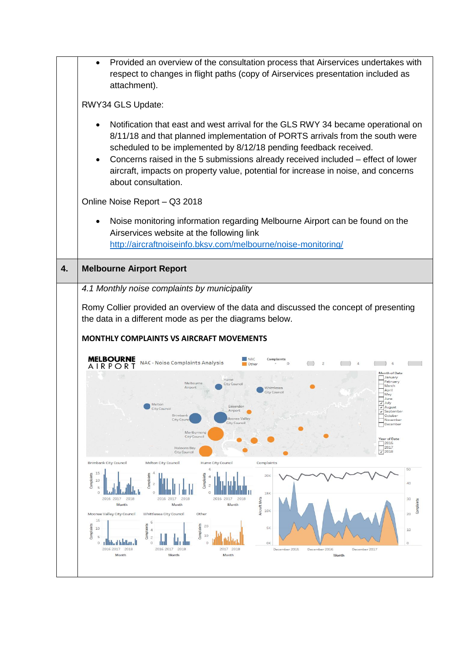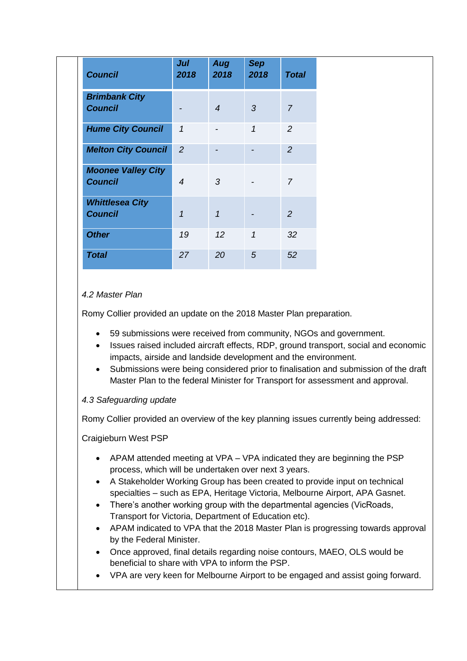| <b>Council</b>                              | Jul<br>2018    | Aug<br>2018    | <b>Sep</b><br>2018 | <b>Total</b>   |
|---------------------------------------------|----------------|----------------|--------------------|----------------|
| <b>Brimbank City</b><br><b>Council</b>      |                | $\overline{4}$ | 3                  | $\overline{7}$ |
| <b>Hume City Council</b>                    | $\mathcal I$   | $\overline{a}$ | $\mathcal{I}$      | 2              |
| <b>Melton City Council</b>                  | 2              |                |                    | 2              |
| <b>Moonee Valley City</b><br><b>Council</b> | $\overline{4}$ | 3              |                    | $\overline{7}$ |
| <b>Whittlesea City</b><br><b>Council</b>    | $\mathbf{1}$   | $\overline{1}$ |                    | 2              |
| <b>Other</b>                                | 19             | 12             | 1                  | 32             |
| <b>Total</b>                                | 27             | 20             | 5                  | 52             |

## *4.2 Master Plan*

Romy Collier provided an update on the 2018 Master Plan preparation.

- 59 submissions were received from community, NGOs and government.
- Issues raised included aircraft effects, RDP, ground transport, social and economic impacts, airside and landside development and the environment.
- Submissions were being considered prior to finalisation and submission of the draft Master Plan to the federal Minister for Transport for assessment and approval.

## *4.3 Safeguarding update*

Romy Collier provided an overview of the key planning issues currently being addressed:

Craigieburn West PSP

- APAM attended meeting at VPA VPA indicated they are beginning the PSP process, which will be undertaken over next 3 years.
- A Stakeholder Working Group has been created to provide input on technical specialties – such as EPA, Heritage Victoria, Melbourne Airport, APA Gasnet.
- There's another working group with the departmental agencies (VicRoads, Transport for Victoria, Department of Education etc).
- APAM indicated to VPA that the 2018 Master Plan is progressing towards approval by the Federal Minister.
- Once approved, final details regarding noise contours, MAEO, OLS would be beneficial to share with VPA to inform the PSP.
- VPA are very keen for Melbourne Airport to be engaged and assist going forward.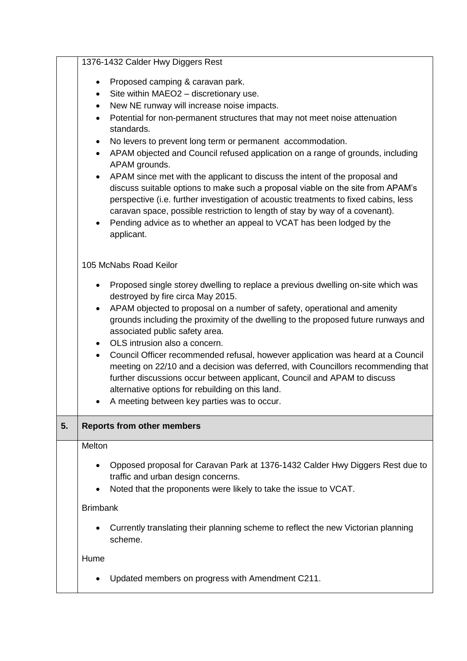|    | 1376-1432 Calder Hwy Diggers Rest                                                                                                                                                                                                                                                                                                                                                                                                                                                                                                                                                                                                                                                                                                                                                                                                                                                                                              |
|----|--------------------------------------------------------------------------------------------------------------------------------------------------------------------------------------------------------------------------------------------------------------------------------------------------------------------------------------------------------------------------------------------------------------------------------------------------------------------------------------------------------------------------------------------------------------------------------------------------------------------------------------------------------------------------------------------------------------------------------------------------------------------------------------------------------------------------------------------------------------------------------------------------------------------------------|
|    | Proposed camping & caravan park.<br>$\bullet$<br>Site within MAEO2 - discretionary use.<br>$\bullet$<br>New NE runway will increase noise impacts.<br>$\bullet$<br>Potential for non-permanent structures that may not meet noise attenuation<br>$\bullet$<br>standards.<br>No levers to prevent long term or permanent accommodation.<br>$\bullet$<br>APAM objected and Council refused application on a range of grounds, including<br>$\bullet$<br>APAM grounds.<br>APAM since met with the applicant to discuss the intent of the proposal and<br>$\bullet$<br>discuss suitable options to make such a proposal viable on the site from APAM's<br>perspective (i.e. further investigation of acoustic treatments to fixed cabins, less<br>caravan space, possible restriction to length of stay by way of a covenant).<br>Pending advice as to whether an appeal to VCAT has been lodged by the<br>$\bullet$<br>applicant. |
|    | 105 McNabs Road Keilor<br>Proposed single storey dwelling to replace a previous dwelling on-site which was<br>$\bullet$<br>destroyed by fire circa May 2015.<br>APAM objected to proposal on a number of safety, operational and amenity<br>$\bullet$<br>grounds including the proximity of the dwelling to the proposed future runways and<br>associated public safety area.<br>OLS intrusion also a concern.<br>$\bullet$<br>Council Officer recommended refusal, however application was heard at a Council<br>$\bullet$<br>meeting on 22/10 and a decision was deferred, with Councillors recommending that<br>further discussions occur between applicant, Council and APAM to discuss<br>alternative options for rebuilding on this land.<br>A meeting between key parties was to occur.<br>٠                                                                                                                            |
| 5. | <b>Reports from other members</b>                                                                                                                                                                                                                                                                                                                                                                                                                                                                                                                                                                                                                                                                                                                                                                                                                                                                                              |
|    | Melton<br>Opposed proposal for Caravan Park at 1376-1432 Calder Hwy Diggers Rest due to<br>traffic and urban design concerns.<br>Noted that the proponents were likely to take the issue to VCAT.<br><b>Brimbank</b><br>Currently translating their planning scheme to reflect the new Victorian planning<br>scheme.<br>Hume                                                                                                                                                                                                                                                                                                                                                                                                                                                                                                                                                                                                   |
|    | Updated members on progress with Amendment C211.                                                                                                                                                                                                                                                                                                                                                                                                                                                                                                                                                                                                                                                                                                                                                                                                                                                                               |